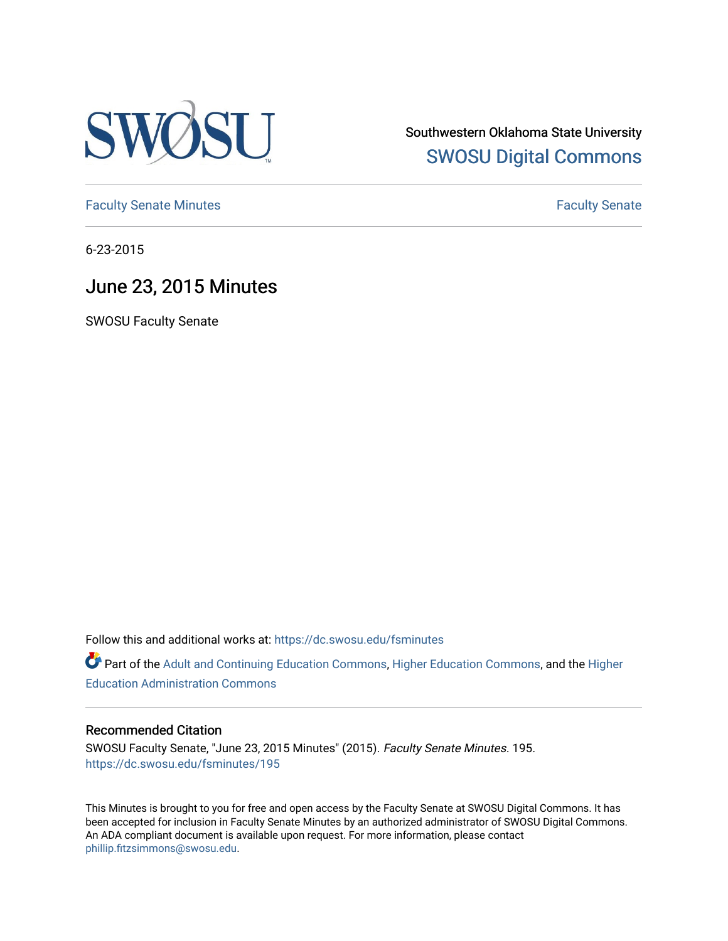

Southwestern Oklahoma State University [SWOSU Digital Commons](https://dc.swosu.edu/) 

[Faculty Senate Minutes](https://dc.swosu.edu/fsminutes) **Faculty** Senate Minutes

6-23-2015

# June 23, 2015 Minutes

SWOSU Faculty Senate

Follow this and additional works at: [https://dc.swosu.edu/fsminutes](https://dc.swosu.edu/fsminutes?utm_source=dc.swosu.edu%2Ffsminutes%2F195&utm_medium=PDF&utm_campaign=PDFCoverPages) 

Part of the [Adult and Continuing Education Commons,](http://network.bepress.com/hgg/discipline/1375?utm_source=dc.swosu.edu%2Ffsminutes%2F195&utm_medium=PDF&utm_campaign=PDFCoverPages) [Higher Education Commons,](http://network.bepress.com/hgg/discipline/1245?utm_source=dc.swosu.edu%2Ffsminutes%2F195&utm_medium=PDF&utm_campaign=PDFCoverPages) and the [Higher](http://network.bepress.com/hgg/discipline/791?utm_source=dc.swosu.edu%2Ffsminutes%2F195&utm_medium=PDF&utm_campaign=PDFCoverPages) [Education Administration Commons](http://network.bepress.com/hgg/discipline/791?utm_source=dc.swosu.edu%2Ffsminutes%2F195&utm_medium=PDF&utm_campaign=PDFCoverPages) 

#### Recommended Citation

SWOSU Faculty Senate, "June 23, 2015 Minutes" (2015). Faculty Senate Minutes. 195. [https://dc.swosu.edu/fsminutes/195](https://dc.swosu.edu/fsminutes/195?utm_source=dc.swosu.edu%2Ffsminutes%2F195&utm_medium=PDF&utm_campaign=PDFCoverPages) 

This Minutes is brought to you for free and open access by the Faculty Senate at SWOSU Digital Commons. It has been accepted for inclusion in Faculty Senate Minutes by an authorized administrator of SWOSU Digital Commons. An ADA compliant document is available upon request. For more information, please contact [phillip.fitzsimmons@swosu.edu](mailto:phillip.fitzsimmons@swosu.edu).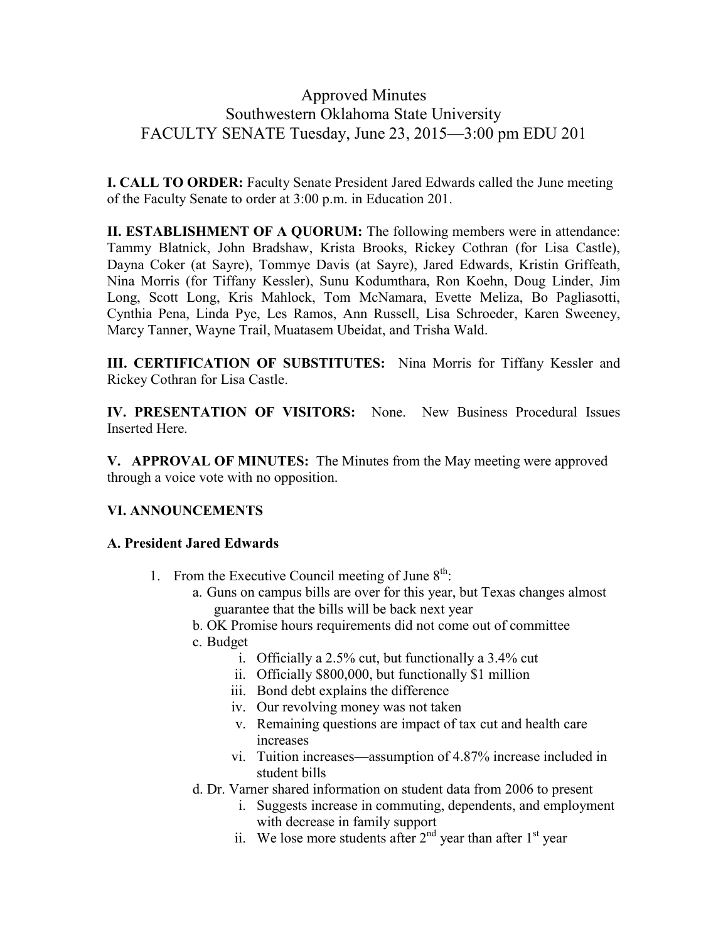#### Approved Minutes Southwestern Oklahoma State University FACULTY SENATE Tuesday, June 23, 2015—3:00 pm EDU 201

**I. CALL TO ORDER:** Faculty Senate President Jared Edwards called the June meeting of the Faculty Senate to order at 3:00 p.m. in Education 201.

**II. ESTABLISHMENT OF A QUORUM:** The following members were in attendance: Tammy Blatnick, John Bradshaw, Krista Brooks, Rickey Cothran (for Lisa Castle), Dayna Coker (at Sayre), Tommye Davis (at Sayre), Jared Edwards, Kristin Griffeath, Nina Morris (for Tiffany Kessler), Sunu Kodumthara, Ron Koehn, Doug Linder, Jim Long, Scott Long, Kris Mahlock, Tom McNamara, Evette Meliza, Bo Pagliasotti, Cynthia Pena, Linda Pye, Les Ramos, Ann Russell, Lisa Schroeder, Karen Sweeney, Marcy Tanner, Wayne Trail, Muatasem Ubeidat, and Trisha Wald.

**III. CERTIFICATION OF SUBSTITUTES:** Nina Morris for Tiffany Kessler and Rickey Cothran for Lisa Castle.

**IV. PRESENTATION OF VISITORS:** None. New Business Procedural Issues Inserted Here.

**V. APPROVAL OF MINUTES:** The Minutes from the May meeting were approved through a voice vote with no opposition.

#### **VI. ANNOUNCEMENTS**

#### **A. President Jared Edwards**

- 1. From the Executive Council meeting of June  $8<sup>th</sup>$ :
	- a. Guns on campus bills are over for this year, but Texas changes almost guarantee that the bills will be back next year
	- b. OK Promise hours requirements did not come out of committee
	- c. Budget
		- i. Officially a 2.5% cut, but functionally a 3.4% cut
		- ii. Officially \$800,000, but functionally \$1 million
		- iii. Bond debt explains the difference
		- iv. Our revolving money was not taken
		- v. Remaining questions are impact of tax cut and health care increases
		- vi. Tuition increases—assumption of 4.87% increase included in student bills
	- d. Dr. Varner shared information on student data from 2006 to present
		- i. Suggests increase in commuting, dependents, and employment with decrease in family support
		- ii. We lose more students after  $2<sup>nd</sup>$  year than after  $1<sup>st</sup>$  year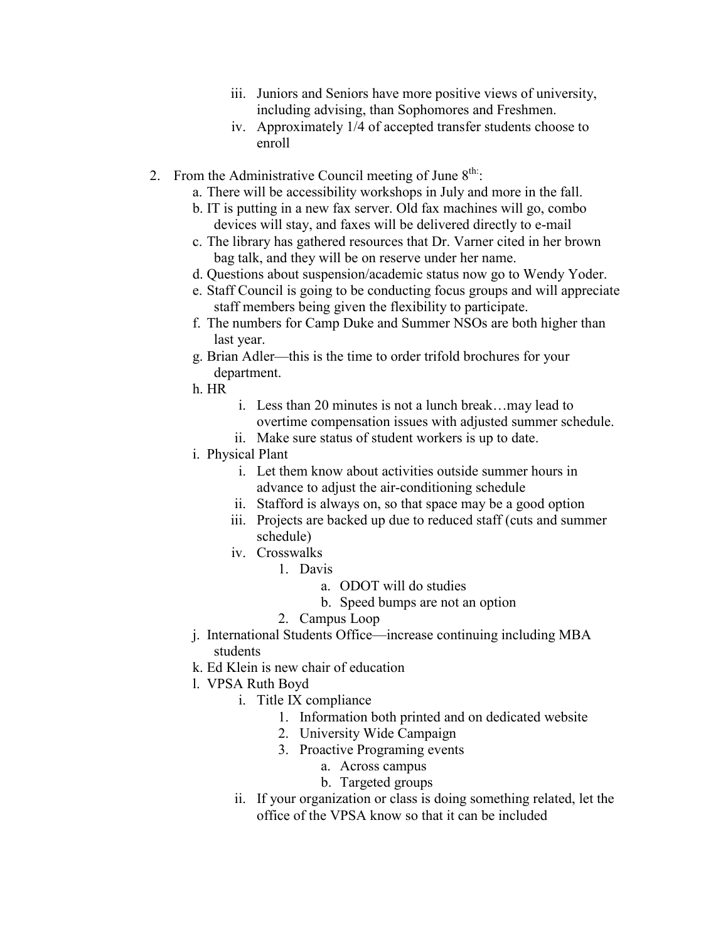- iii. Juniors and Seniors have more positive views of university, including advising, than Sophomores and Freshmen.
- iv. Approximately 1/4 of accepted transfer students choose to enroll
- 2. From the Administrative Council meeting of June  $8^{\text{th}}$ .
	- a. There will be accessibility workshops in July and more in the fall.
	- b. IT is putting in a new fax server. Old fax machines will go, combo devices will stay, and faxes will be delivered directly to e-mail
	- c. The library has gathered resources that Dr. Varner cited in her brown bag talk, and they will be on reserve under her name.
	- d. Questions about suspension/academic status now go to Wendy Yoder.
	- e. Staff Council is going to be conducting focus groups and will appreciate staff members being given the flexibility to participate.
	- f. The numbers for Camp Duke and Summer NSOs are both higher than last year.
	- g. Brian Adler—this is the time to order trifold brochures for your department.
	- h. HR
- i. Less than 20 minutes is not a lunch break…may lead to overtime compensation issues with adjusted summer schedule.
- ii. Make sure status of student workers is up to date.
- i. Physical Plant
	- i. Let them know about activities outside summer hours in advance to adjust the air-conditioning schedule
	- ii. Stafford is always on, so that space may be a good option
	- iii. Projects are backed up due to reduced staff (cuts and summer schedule)
	- iv. Crosswalks
		- 1. Davis
			- a. ODOT will do studies
			- b. Speed bumps are not an option
			- 2. Campus Loop
- j. International Students Office—increase continuing including MBA students
- k. Ed Klein is new chair of education
- l. VPSA Ruth Boyd
	- i. Title IX compliance
		- 1. Information both printed and on dedicated website
		- 2. University Wide Campaign
		- 3. Proactive Programing events
			- a. Across campus
			- b. Targeted groups
	- ii. If your organization or class is doing something related, let the office of the VPSA know so that it can be included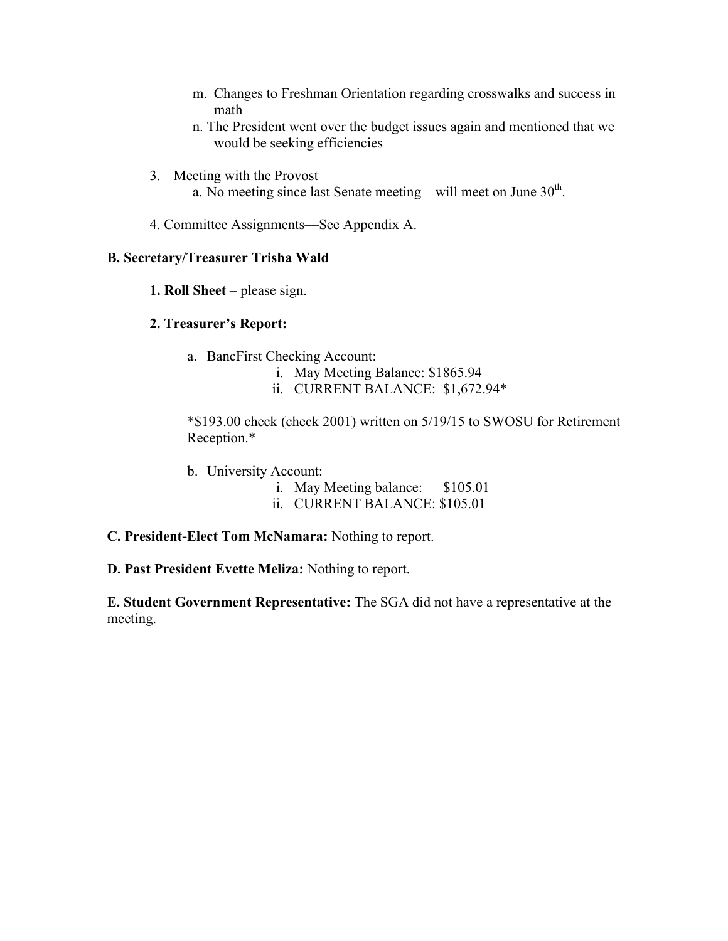- m. Changes to Freshman Orientation regarding crosswalks and success in math
- n. The President went over the budget issues again and mentioned that we would be seeking efficiencies
- 3. Meeting with the Provost
	- a. No meeting since last Senate meeting—will meet on June  $30<sup>th</sup>$ .
- 4. Committee Assignments—See Appendix A.

#### **B. Secretary/Treasurer Trisha Wald**

**1. Roll Sheet** – please sign.

#### **2. Treasurer's Report:**

- a. BancFirst Checking Account:
	- i. May Meeting Balance: \$1865.94
	- ii. CURRENT BALANCE: \$1,672.94\*

\*\$193.00 check (check 2001) written on 5/19/15 to SWOSU for Retirement Reception.\*

- b. University Account:
	- i. May Meeting balance: \$105.01
	- ii. CURRENT BALANCE: \$105.01
- **C. President-Elect Tom McNamara:** Nothing to report.
- **D. Past President Evette Meliza:** Nothing to report.

**E. Student Government Representative:** The SGA did not have a representative at the meeting.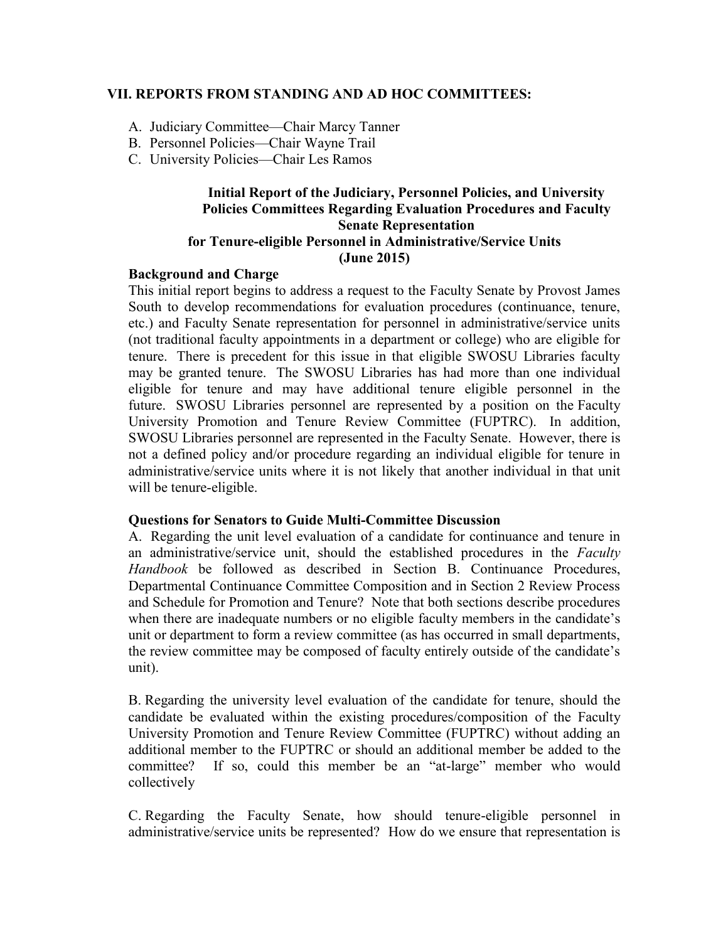#### **VII. REPORTS FROM STANDING AND AD HOC COMMITTEES:**

- A. Judiciary Committee—Chair Marcy Tanner
- B. Personnel Policies—Chair Wayne Trail
- C. University Policies—Chair Les Ramos

#### **Initial Report of the Judiciary, Personnel Policies, and University Policies Committees Regarding Evaluation Procedures and Faculty Senate Representation for Tenure-eligible Personnel in Administrative/Service Units (June 2015)**

#### **Background and Charge**

This initial report begins to address a request to the Faculty Senate by Provost James South to develop recommendations for evaluation procedures (continuance, tenure, etc.) and Faculty Senate representation for personnel in administrative/service units (not traditional faculty appointments in a department or college) who are eligible for tenure. There is precedent for this issue in that eligible SWOSU Libraries faculty may be granted tenure. The SWOSU Libraries has had more than one individual eligible for tenure and may have additional tenure eligible personnel in the future. SWOSU Libraries personnel are represented by a position on the Faculty University Promotion and Tenure Review Committee (FUPTRC). In addition, SWOSU Libraries personnel are represented in the Faculty Senate. However, there is not a defined policy and/or procedure regarding an individual eligible for tenure in administrative/service units where it is not likely that another individual in that unit will be tenure-eligible.

#### **Questions for Senators to Guide Multi-Committee Discussion**

A. Regarding the unit level evaluation of a candidate for continuance and tenure in an administrative/service unit, should the established procedures in the *Faculty Handbook* be followed as described in Section B. Continuance Procedures, Departmental Continuance Committee Composition and in Section 2 Review Process and Schedule for Promotion and Tenure? Note that both sections describe procedures when there are inadequate numbers or no eligible faculty members in the candidate's unit or department to form a review committee (as has occurred in small departments, the review committee may be composed of faculty entirely outside of the candidate's unit).

B. Regarding the university level evaluation of the candidate for tenure, should the candidate be evaluated within the existing procedures/composition of the Faculty University Promotion and Tenure Review Committee (FUPTRC) without adding an additional member to the FUPTRC or should an additional member be added to the committee? If so, could this member be an "at-large" member who would collectively

C. Regarding the Faculty Senate, how should tenure-eligible personnel in administrative/service units be represented? How do we ensure that representation is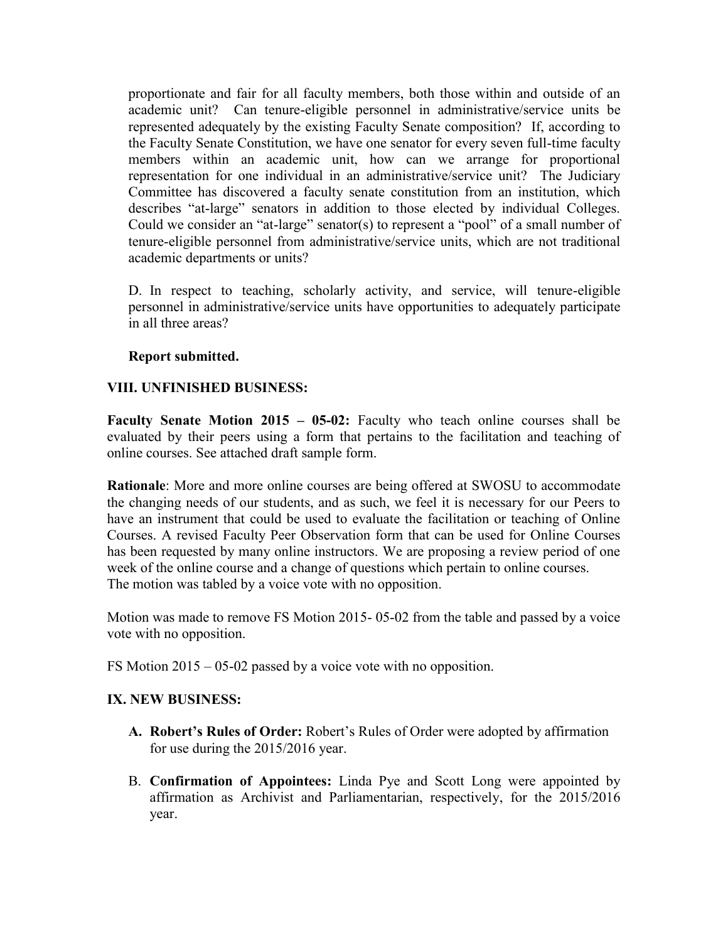proportionate and fair for all faculty members, both those within and outside of an academic unit? Can tenure-eligible personnel in administrative/service units be represented adequately by the existing Faculty Senate composition? If, according to the Faculty Senate Constitution, we have one senator for every seven full-time faculty members within an academic unit, how can we arrange for proportional representation for one individual in an administrative/service unit? The Judiciary Committee has discovered a faculty senate constitution from an institution, which describes "at-large" senators in addition to those elected by individual Colleges. Could we consider an "at-large" senator(s) to represent a "pool" of a small number of tenure-eligible personnel from administrative/service units, which are not traditional academic departments or units?

D. In respect to teaching, scholarly activity, and service, will tenure-eligible personnel in administrative/service units have opportunities to adequately participate in all three areas?

#### **Report submitted.**

#### **VIII. UNFINISHED BUSINESS:**

**Faculty Senate Motion 2015 – 05-02:** Faculty who teach online courses shall be evaluated by their peers using a form that pertains to the facilitation and teaching of online courses. See attached draft sample form.

**Rationale**: More and more online courses are being offered at SWOSU to accommodate the changing needs of our students, and as such, we feel it is necessary for our Peers to have an instrument that could be used to evaluate the facilitation or teaching of Online Courses. A revised Faculty Peer Observation form that can be used for Online Courses has been requested by many online instructors. We are proposing a review period of one week of the online course and a change of questions which pertain to online courses. The motion was tabled by a voice vote with no opposition.

Motion was made to remove FS Motion 2015- 05-02 from the table and passed by a voice vote with no opposition.

FS Motion 2015 – 05-02 passed by a voice vote with no opposition.

#### **IX. NEW BUSINESS:**

- **A. Robert's Rules of Order:** Robert's Rules of Order were adopted by affirmation for use during the 2015/2016 year.
- B. **Confirmation of Appointees:** Linda Pye and Scott Long were appointed by affirmation as Archivist and Parliamentarian, respectively, for the 2015/2016 year.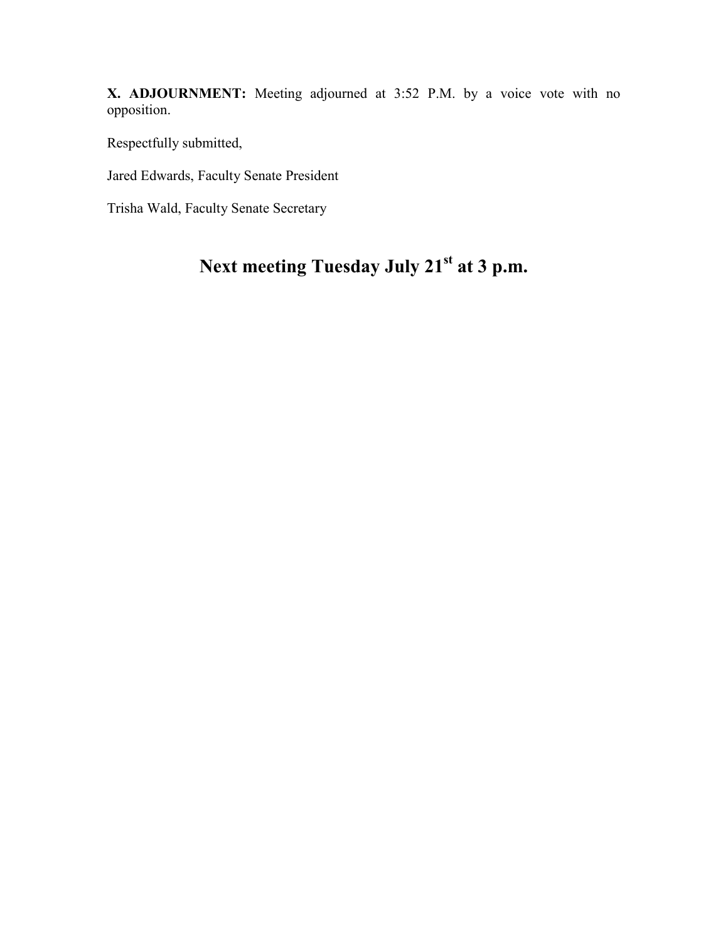**X. ADJOURNMENT:** Meeting adjourned at 3:52 P.M. by a voice vote with no opposition.

Respectfully submitted,

Jared Edwards, Faculty Senate President

Trisha Wald, Faculty Senate Secretary

# **Next meeting Tuesday July 21st at 3 p.m.**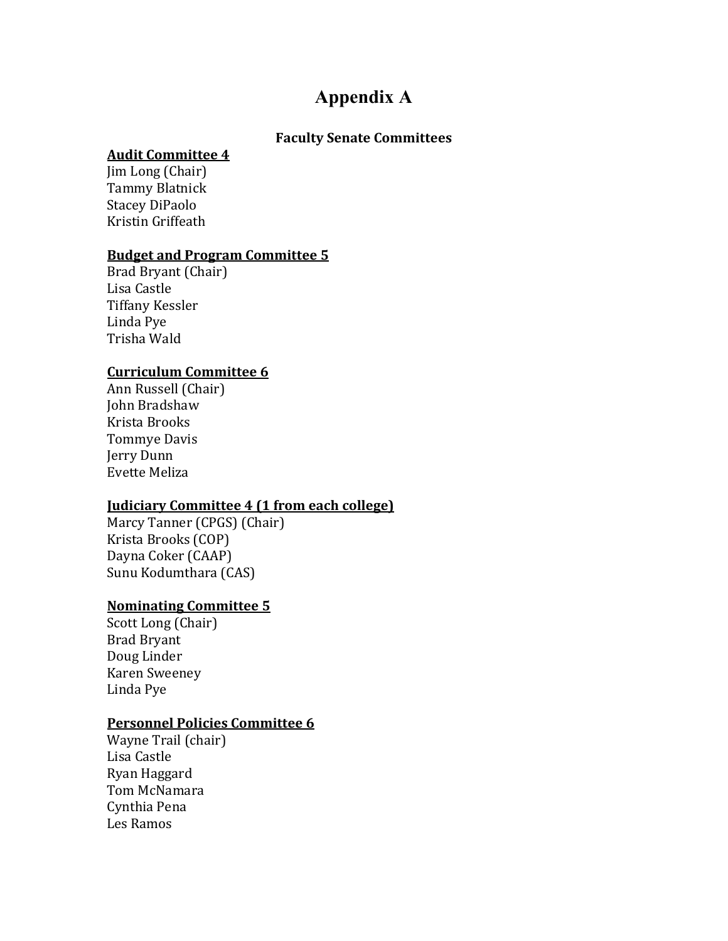# **Appendix A**

#### **Faculty Senate Committees**

#### **Audit Committee 4**

Jim Long (Chair) Tammy Blatnick Stacey DiPaolo Kristin Griffeath

#### **Budget and Program Committee 5**

Brad Bryant (Chair) Lisa Castle Tiffany Kessler Linda Pye Trisha Wald

#### **Curriculum Committee 6**

Ann Russell (Chair) John Bradshaw Krista Brooks Tommye Davis Jerry Dunn Evette Meliza

#### **Judiciary Committee 4 (1 from each college)**

Marcy Tanner (CPGS) (Chair) Krista Brooks (COP) Dayna Coker (CAAP) Sunu Kodumthara (CAS)

#### **Nominating Committee 5**

Scott Long (Chair) Brad Bryant Doug Linder Karen Sweeney Linda Pye

#### **Personnel Policies Committee 6**

Wayne Trail (chair) Lisa Castle Ryan Haggard Tom McNamara Cynthia Pena Les Ramos